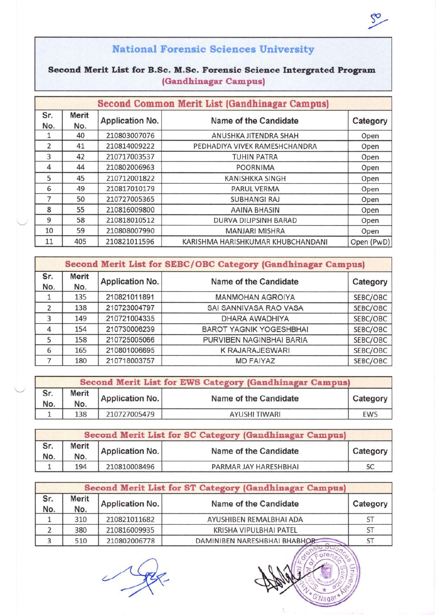# **National Forensic Sciences University**

 $\sqrt{30}$ 

### Second Merit List for B.Sc. M.Sc. Forensic Science Intergrated Program (Gandhinagar Campus)

|            | Second Common Merit List (Gandhinagar Campus) |                 |                                   |            |  |  |  |  |
|------------|-----------------------------------------------|-----------------|-----------------------------------|------------|--|--|--|--|
| Sr.<br>No. | <b>Merit</b><br>No.                           | Application No. | Name of the Candidate             | Category   |  |  |  |  |
| 1          | 40                                            | 210803007076    | ANUSHKA JITENDRA SHAH             | Open       |  |  |  |  |
| 2          | 41                                            | 210814009222    | PEDHADIYA VIVEK RAMESHCHANDRA     | Open       |  |  |  |  |
| 3          | 42                                            | 210717003537    | <b>TUHIN PATRA</b>                | Open       |  |  |  |  |
| 4          | 44                                            | 210802006963    | <b>POORNIMA</b>                   | Open       |  |  |  |  |
| 5          | 45                                            | 210712001822    | <b>KANISHKKA SINGH</b>            | Open       |  |  |  |  |
| 6          | 49                                            | 210817010179    | PARUL VERMA                       | Open       |  |  |  |  |
| 7          | 50                                            | 210727005365    | <b>SUBHANGI RAJ</b>               | Open       |  |  |  |  |
| 8          | 55                                            | 210816009800    | <b>AAINA BHASIN</b>               | Open       |  |  |  |  |
| 9          | 58                                            | 210818010512    | DURVA DILIPSINH BARAD             | Open       |  |  |  |  |
| 10         | 59                                            | 210808007990    | <b>MANJARI MISHRA</b>             | Open       |  |  |  |  |
| 11         | 405                                           | 210821011596    | KARISHMA HARISHKUMAR KHUBCHANDANI | Open (PwD) |  |  |  |  |

|                          |              |                        | <b>Second Merit List for SEBC/OBC Category (Gandhinagar Campus)</b> |          |
|--------------------------|--------------|------------------------|---------------------------------------------------------------------|----------|
| Sr.<br>No.               | Merit<br>No. | <b>Application No.</b> | Name of the Candidate                                               | Category |
|                          | 135          | 210821011891           | <b>MANMOHAN AGROIYA</b>                                             | SEBC/OBC |
| $\overline{\phantom{a}}$ | 138          | 210723004797           | SAI SANNIVASA RAO VASA                                              | SEBC/OBC |
| 3                        | 149          | 210721004335           | DHARA AWADHIYA                                                      | SEBC/OBC |
| 4                        | 154          | 210730006239           | <b>BAROT YAGNIK YOGESHBHAI</b>                                      | SEBC/OBC |
| 5                        | 158          | 210725005066           | PURVIBEN NAGINBHAI BARIA                                            | SEBC/OBC |
| 6                        | 165          | 210801006695           | <b>K RAJARAJESWARI</b>                                              | SEBC/OBC |
|                          | 180          | 210718003757           | <b>MD FAIYAZ</b>                                                    | SEBC/OBC |

|            | <b>Second Merit List for EWS Category (Gandhinagar Campus)</b> |                 |                       |            |  |  |  |
|------------|----------------------------------------------------------------|-----------------|-----------------------|------------|--|--|--|
| Sr.<br>No. | Merit<br>No.                                                   | Application No. | Name of the Candidate | Category   |  |  |  |
|            | 138                                                            | 210727005479    | AYUSHI TIWARI         | <b>EWS</b> |  |  |  |

| Second Merit List for SC Category (Gandhinagar Campus) |              |                 |                       |          |  |  |
|--------------------------------------------------------|--------------|-----------------|-----------------------|----------|--|--|
| Sr.<br>No.                                             | Merit<br>No. | Application No. | Name of the Candidate | Category |  |  |
|                                                        | 194          | 210810008496    | PARMAR JAY HARESHBHAI | SC       |  |  |

|            | <b>Second Merit List for ST Category (Gandhinagar Campus)</b> |                 |                              |           |  |  |
|------------|---------------------------------------------------------------|-----------------|------------------------------|-----------|--|--|
| Sr.<br>No. | Merit<br>No.                                                  | Application No. | Name of the Candidate        | Category  |  |  |
|            | 310                                                           | 210821011682    | AYUSHIBEN REMALBHAI ADA      | <b>ST</b> |  |  |
|            | 380                                                           | 210816009935    | KRISHA VIPULBHAI PATEL       | ST        |  |  |
|            | 510                                                           | 210802006778    | DAMINIBEN NARESHBHAI BHABHOR | <b>ST</b> |  |  |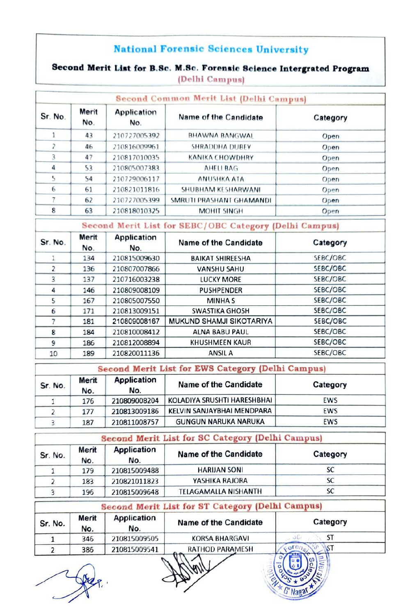## National Forensic Sciences University

#### Second Merit List for B.Sc. M.Se. Forensie Selence Intergrated Program (Delhi Campus)

|         | Second Common Merit List (Delhi Campus) |                    |                          |          |  |  |
|---------|-----------------------------------------|--------------------|--------------------------|----------|--|--|
| Sr. No. | Merit<br>No.                            | Application<br>No. | Name of the Candidate    | Category |  |  |
|         | 43                                      | 210727005392       | <b>BHAWNA BANGWAL</b>    | Open     |  |  |
|         | 46                                      | 210816009961       | <b>SHRADDHA DUBEY</b>    | Open     |  |  |
| 3       | 47                                      | 210817010035       | <b>KANIKA CHOWDHRY</b>   | Open     |  |  |
| 4       | 53                                      | 210805007383       | <b>AHELLBAG</b>          | Open     |  |  |
| 5       | 54                                      | 210729006117       | <b>ANUSHKA ATA</b>       | Open     |  |  |
| 6       | 61                                      | 210821011816       | SHUBHAM KESHARWANI       | Open     |  |  |
|         | 62                                      | 210727005399       | SMRUTI PRASHANT GHAMANDI | Open     |  |  |
| 8       | 63                                      | 210818010325       | <b>MOHIT SINGH</b>       | Open     |  |  |

### Second Merit List for SEBC/OBC Category (Delhi Campus)

| Sr. No. | Merit<br>No. | Application<br>No. | <b>Name of the Candidate</b> | Category |
|---------|--------------|--------------------|------------------------------|----------|
|         | 134          | 210815009630       | <b>BAIKAT SHIREESHA</b>      | SEBC/OBC |
|         | 136          | 210807007866       | <b>VANSHU SAHU</b>           | SEBC/OBC |
| 3       | 137          | 210716003238       | <b>LUCKY MORE</b>            | SEBC/OBC |
| 4       | 146          | 210809008109       | <b>PUSHPENDER</b>            | SEBC/OBC |
| 5       | 167          | 210805007550       | <b>MINHA S</b>               | SEBC/OBC |
| 6       | 171          | 210813009151       | <b>SWASTIKA GHOSH</b>        | SEBC/OBC |
|         | 181          | 210809008167       | MUKUND SHAMJI SIKOTARIYA     | SEBC/OBC |
| 8       | 184          | 210810008412       | <b>ALNA BABU PAUL</b>        | SEBC/OBC |
| 9       | 186          | 210812008894       | <b>KHUSHMEEN KAUR</b>        | SEBC/OBC |
| 10      | 189          | 210820011136       | <b>ANSILA</b>                | SEBC/OBC |

|         | <b>Second Merit List for EWS Category (Delhi Campus)</b> |                           |                              |          |  |  |  |
|---------|----------------------------------------------------------|---------------------------|------------------------------|----------|--|--|--|
| Sr. No. | Merit<br>No.                                             | <b>Application</b><br>No. | <b>Name of the Candidate</b> | Category |  |  |  |
|         | 176                                                      | 210809008204              | KOLADIYA SRUSHTI HARESHBHAI  | EWS      |  |  |  |
|         | 177                                                      | 210813009186              | KELVIN SANJAYBHAI MENDPARA   | EWS      |  |  |  |
|         | 187                                                      | 210811008757              | <b>GUNGUN NARUKA NARUKA</b>  | EWS      |  |  |  |

| <b>Second Merit List for SC Category (Delhi Campus)</b> |              |                           |                              |          |  |  |
|---------------------------------------------------------|--------------|---------------------------|------------------------------|----------|--|--|
| Sr. No.                                                 | Merit<br>No. | <b>Application</b><br>No. | <b>Name of the Candidate</b> | Category |  |  |
|                                                         | 179          | 210815009488              | <b>HARIJAN SONI</b>          | SC       |  |  |
|                                                         | 183          | 210821011823              | YASHIKA RAJORA               | SC       |  |  |
|                                                         | 196          | 210815009648              | <b>TELAGAMALLA NISHANTH</b>  | SC       |  |  |

| <b>Second Merit List for ST Category (Delhi Campus)</b> |              |                           |                        |          |  |
|---------------------------------------------------------|--------------|---------------------------|------------------------|----------|--|
| Sr. No.                                                 | Merit<br>No. | <b>Application</b><br>No. | Name of the Candidate  | Category |  |
|                                                         | 346          | 210815009505              | <b>KORSA BHARGAVI</b>  |          |  |
|                                                         | 386          | 210815009541              | <b>RATHOD PARAMESH</b> |          |  |

 $N + G'$  Nagal  $\star$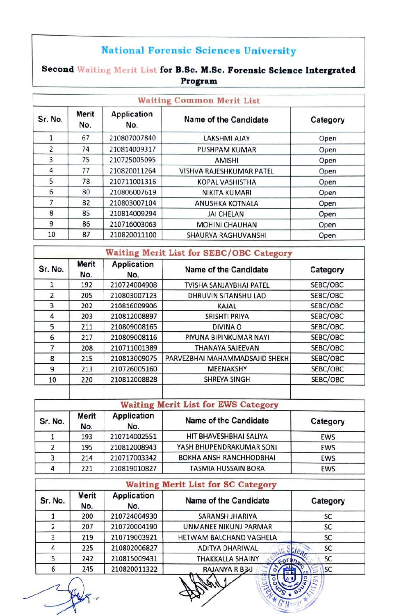## National Forensic Sciences University

#### Second Waiting Merit List for B.Sc. M.Sc. Forensic Science Intergrated Program

| <b>Waiting Common Merit List</b> |              |                    |                          |          |  |  |
|----------------------------------|--------------|--------------------|--------------------------|----------|--|--|
| Sr. No.                          | Merit<br>No. | Application<br>No. | Name of the Candidate    | Category |  |  |
|                                  | 67           | 210807007840       | <b>LAKSHMI AJAY</b>      | Open     |  |  |
| $\overline{\phantom{a}}$         | 74           | 210814009317       | <b>PUSHPAM KUMAR</b>     | Open     |  |  |
| 3                                | 75           | 210725005095       | <b>AMISHI</b>            | Open     |  |  |
| 4                                | 77           | 210820011264       | VISHVA RAJESHKUMAR PATEL | Open     |  |  |
| 5                                | 78           | 210711001316       | <b>KOPAL VASHISTHA</b>   | Open     |  |  |
| 6                                | 80           | 210806007619       | <b>NIKITA KUMARI</b>     | Open     |  |  |
|                                  | 82           | 210803007104       | ANUSHKA KOTNALA          | Open     |  |  |
| 8                                | 85           | 210814009294       | <b>JAI CHELANI</b>       | Open     |  |  |
| 9                                | 86           | 210716003063       | <b>MOHINI CHAUHAN</b>    | Open     |  |  |
| 10                               | 87           | 210820011100       | SHAURYA RAGHUVANSHI      | Open     |  |  |

| Waiting Merit List for SEBC/OBC Category |              |                           |                                |          |  |
|------------------------------------------|--------------|---------------------------|--------------------------------|----------|--|
| Sr. No.                                  | Merit<br>No. | <b>Application</b><br>No. | Name of the Candidate          | Category |  |
|                                          | 192          | 210724004908              | TVISHA SANJAYBHAI PATEL        | SEBC/OBC |  |
| 2                                        | 205          | 210803007123              | DHRUVIN SITANSHU LAD           | SEBC/OBC |  |
| 3                                        | 202          | 210816009906              | KAJAL                          | SEBC/OBC |  |
| 4                                        | 203          | 210812008897              | SRISHTI PRIYA                  | SEBC/OBC |  |
| 5                                        | 211          | 210809008165              | <b>DIVINA O</b>                | SEBC/OBC |  |
| 6                                        | 217          | 210809008116              | PIYUNA BIPINKUMAR NAYI         | SEBC/OBC |  |
| 7                                        | 208          | 210711001389              | THANAYA SAJEEVAN               | SEBC/OBC |  |
| 8                                        | 215          | 210813009075              | PARVEZBHAI MAHAMMADSAJID SHEKH | SEBC/OBC |  |
| 9                                        | 213          | 210726005160              | <b>MEENAKSHY</b>               | SEBC/OBC |  |
| 10                                       | 220          | 210812008828              | SHREYA SINGH                   | SEBC/OBC |  |
|                                          |              |                           |                                |          |  |

| <b>Waiting Merit List for EWS Category</b> |              |                    |                            |            |  |  |  |
|--------------------------------------------|--------------|--------------------|----------------------------|------------|--|--|--|
| Sr. No.                                    | Merit<br>No. | Application<br>No. | Name of the Candidate      | Category   |  |  |  |
|                                            | 193          | 210714002551       | HIT BHAVESHBHAI SALIYA     | <b>EWS</b> |  |  |  |
|                                            | 195          | 210812008943       | YASH BHUPENDRAKUMAR SONI   | <b>EWS</b> |  |  |  |
|                                            | 214          | 210717003342       | BOKHA ANSH RANCHHODBHAI    | <b>EWS</b> |  |  |  |
|                                            | 221          | 210819010827       | <b>TASMIA HUSSAIN BORA</b> | <b>EWS</b> |  |  |  |

| <b>Waiting Merit List for SC Category</b> |                           |                              |           |  |  |  |  |
|-------------------------------------------|---------------------------|------------------------------|-----------|--|--|--|--|
| Merit<br>No.                              | <b>Application</b><br>No. | Name of the Candidate        | Category  |  |  |  |  |
| 200                                       | 210724004930              | SARANSH JHARIYA              | <b>SC</b> |  |  |  |  |
| 207                                       | 210720004190              | UNMANEE NIKUNJ PARMAR        | SC        |  |  |  |  |
| 219                                       | 210719003921              | HETWAM BALCHAND VAGHELA      | <b>SC</b> |  |  |  |  |
| 225                                       | 210802006827              | ADITYA DHARIWAL              | <b>SC</b> |  |  |  |  |
| 242                                       | 210815009431              | THAKKALLA SHAINY<br>$60$ ren | <b>SC</b> |  |  |  |  |
| 245                                       | 210820011322              | RAJANYA R BBIJ               | <b>SC</b> |  |  |  |  |
|                                           |                           |                              | C165C122  |  |  |  |  |

**X G'Naa?**